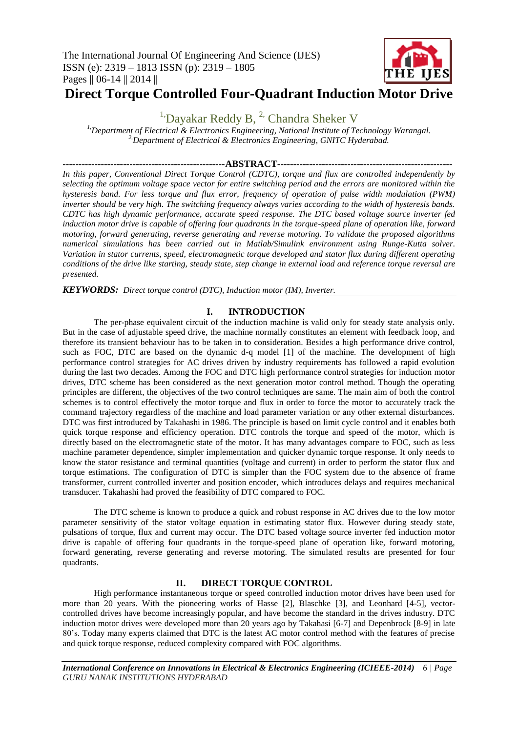

# **Direct Torque Controlled Four-Quadrant Induction Motor Drive**

<sup>1</sup>'Dayakar Reddy B,  $^{2}$ ' Chandra Sheker V

*1,Department of Electrical & Electronics Engineering, National Institute of Technology Warangal. 2,Department of Electrical & Electronics Engineering, GNITC Hyderabad.*

**---------------------------------------------------ABSTRACT-------------------------------------------------------**

*In this paper, Conventional Direct Torque Control (CDTC), torque and flux are controlled independently by selecting the optimum voltage space vector for entire switching period and the errors are monitored within the hysteresis band. For less torque and flux error, frequency of operation of pulse width modulation (PWM) inverter should be very high. The switching frequency always varies according to the width of hysteresis bands. CDTC has high dynamic performance, accurate speed response. The DTC based voltage source inverter fed induction motor drive is capable of offering four quadrants in the torque-speed plane of operation like, forward motoring, forward generating, reverse generating and reverse motoring. To validate the proposed algorithms numerical simulations has been carried out in Matlab/Simulink environment using Runge-Kutta solver. Variation in stator currents, speed, electromagnetic torque developed and stator flux during different operating conditions of the drive like starting, steady state, step change in external load and reference torque reversal are presented.*

*KEYWORDS: Direct torque control (DTC), Induction motor (IM), Inverter.*

# **I. INTRODUCTION**

The per-phase equivalent circuit of the induction machine is valid only for steady state analysis only. But in the case of adjustable speed drive, the machine normally constitutes an element with feedback loop, and therefore its transient behaviour has to be taken in to consideration. Besides a high performance drive control, such as FOC, DTC are based on the dynamic d-q model [1] of the machine. The development of high performance control strategies for AC drives driven by industry requirements has followed a rapid evolution during the last two decades. Among the FOC and DTC high performance control strategies for induction motor drives, DTC scheme has been considered as the next generation motor control method. Though the operating principles are different, the objectives of the two control techniques are same. The main aim of both the control schemes is to control effectively the motor torque and flux in order to force the motor to accurately track the command trajectory regardless of the machine and load parameter variation or any other external disturbances. DTC was first introduced by Takahashi in 1986. The principle is based on limit cycle control and it enables both quick torque response and efficiency operation. DTC controls the torque and speed of the motor, which is directly based on the electromagnetic state of the motor. It has many advantages compare to FOC, such as less machine parameter dependence, simpler implementation and quicker dynamic torque response. It only needs to know the stator resistance and terminal quantities (voltage and current) in order to perform the stator flux and torque estimations. The configuration of DTC is simpler than the FOC system due to the absence of frame transformer, current controlled inverter and position encoder, which introduces delays and requires mechanical transducer. Takahashi had proved the feasibility of DTC compared to FOC.

The DTC scheme is known to produce a quick and robust response in AC drives due to the low motor parameter sensitivity of the stator voltage equation in estimating stator flux. However during steady state, pulsations of torque, flux and current may occur. The DTC based voltage source inverter fed induction motor drive is capable of offering four quadrants in the torque-speed plane of operation like, forward motoring, forward generating, reverse generating and reverse motoring. The simulated results are presented for four quadrants.

# **II. DIRECT TORQUE CONTROL**

High performance instantaneous torque or speed controlled induction motor drives have been used for more than 20 years. With the pioneering works of Hasse [2], Blaschke [3], and Leonhard [4-5], vectorcontrolled drives have become increasingly popular, and have become the standard in the drives industry. DTC induction motor drives were developed more than 20 years ago by Takahasi [6-7] and Depenbrock [8-9] in late 80's. Today many experts claimed that DTC is the latest AC motor control method with the features of precise and quick torque response, reduced complexity compared with FOC algorithms.

*International Conference on Innovations in Electrical & Electronics Engineering (ICIEEE-2014) 6 | Page GURU NANAK INSTITUTIONS HYDERABAD*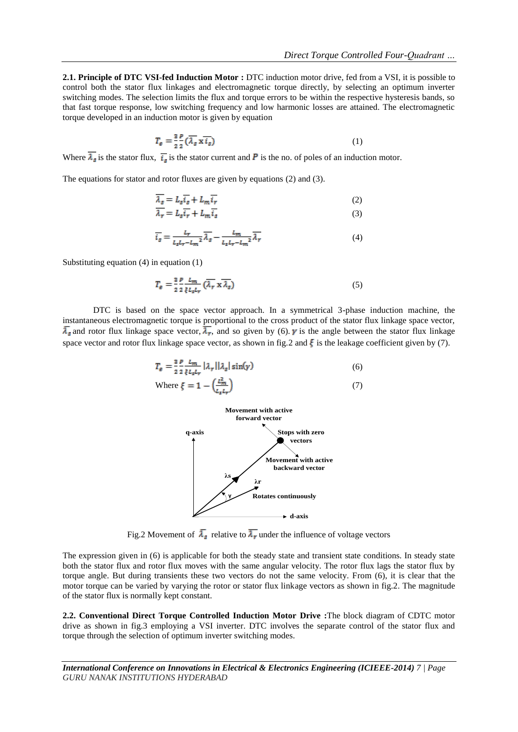**2.1. Principle of DTC VSI-fed Induction Motor :** DTC induction motor drive, fed from a VSI, it is possible to control both the stator flux linkages and electromagnetic torque directly, by selecting an optimum inverter switching modes. The selection limits the flux and torque errors to be within the respective hysteresis bands, so that fast torque response, low switching frequency and low harmonic losses are attained. The electromagnetic torque developed in an induction motor is given by equation

$$
T_{\mathcal{E}} = \frac{3}{2} \frac{P}{2} \left( \overline{\lambda_s} \, \overline{\mathbf{x} \, \overline{\mathbf{t}_s}} \right) \tag{1}
$$

Where  $\overline{\lambda_s}$  is the stator flux,  $\overline{i_s}$  is the stator current and **P** is the no. of poles of an induction motor.

The equations for stator and rotor fluxes are given by equations (2) and (3).

$$
\overline{\lambda_s} = L_s \overline{i_s} + L_m \overline{i_r} \tag{2}
$$

$$
\overline{\lambda_r} = L_s \overline{i_r} + L_m \overline{i_s} \tag{3}
$$

$$
\overline{i_s} = \frac{L_r}{L_s L_r - L_m^2} \overline{\lambda_s} - \frac{L_m}{L_s L_r - L_m^2} \overline{\lambda_r}
$$
(4)

Substituting equation (4) in equation (1)

$$
T_{\rm g} = \frac{3}{2} \frac{p}{2} \frac{L_m}{\xi L_{\rm g} L_{\rm r}} \left( \overline{\lambda}_{\rm r} \times \overline{\lambda}_{\rm g} \right) \tag{5}
$$

 DTC is based on the space vector approach. In a symmetrical 3-phase induction machine, the instantaneous electromagnetic torque is proportional to the cross product of the stator flux linkage space vector,  $\bar{\lambda}_{s}$  and rotor flux linkage space vector,  $\bar{\lambda}_{r}$ , and so given by (6). *y* is the angle between the stator flux linkage space vector and rotor flux linkage space vector, as shown in fig. 2 and  $\xi$  is the leakage coefficient given by (7).

$$
T_e = \frac{2}{2} \frac{P}{2} \frac{L_m}{\xi L_s L_r} |\lambda_r| |\lambda_s| \sin(\gamma)
$$
  
Where  $\xi = 1 - \left(\frac{L_m^2}{L_s L_r}\right)$  (7)



Fig.2 Movement of  $\overline{\lambda}_s$  relative to  $\overline{\lambda}_r$  under the influence of voltage vectors

The expression given in (6) is applicable for both the steady state and transient state conditions. In steady state both the stator flux and rotor flux moves with the same angular velocity. The rotor flux lags the stator flux by torque angle. But during transients these two vectors do not the same velocity. From (6), it is clear that the motor torque can be varied by varying the rotor or stator flux linkage vectors as shown in fig.2. The magnitude of the stator flux is normally kept constant.

**2.2. Conventional Direct Torque Controlled Induction Motor Drive :**The block diagram of CDTC motor drive as shown in fig.3 employing a VSI inverter. DTC involves the separate control of the stator flux and torque through the selection of optimum inverter switching modes.

*International Conference on Innovations in Electrical & Electronics Engineering (ICIEEE-2014) 7 | Page GURU NANAK INSTITUTIONS HYDERABAD*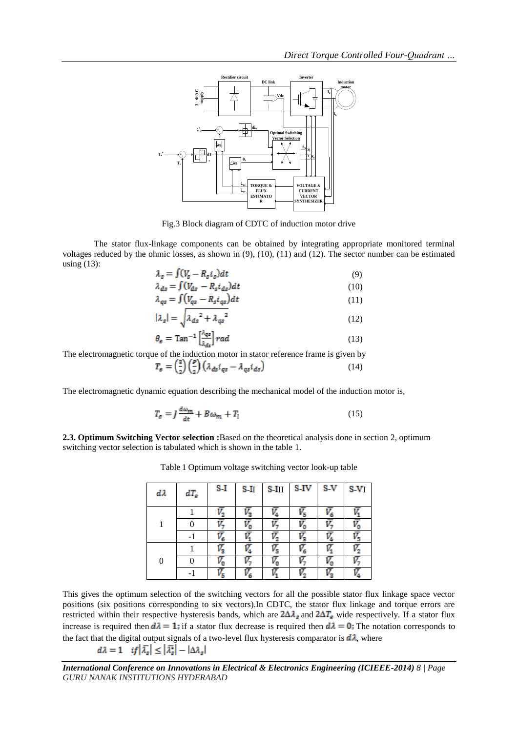

Fig.3 Block diagram of CDTC of induction motor drive

The stator flux-linkage components can be obtained by integrating appropriate monitored terminal voltages reduced by the ohmic losses, as shown in (9), (10), (11) and (12). The sector number can be estimated using (13):

$$
\lambda_s = \int (V_s - R_s i_s) dt
$$
\n
$$
\lambda_{s+1} = \int (V_{s-1} - R_s i_s) dt
$$
\n(10)

$$
\lambda_{ds} = \int (V_{ds} - R_s i_{ds}) dt
$$
\n(10)

$$
\lambda_{qs} = \int (V_{qs} - R_s i_{qs}) dt \tag{11}
$$

$$
|\lambda_s| = \sqrt{\lambda_{ds}^2 + \lambda_{qs}^2} \tag{12}
$$

$$
\theta_{\rm g} = \text{Tan}^{-1} \left[ \frac{\lambda_{\rm qs}}{\lambda_{\rm ds}} \right] rad \tag{13}
$$

The electromagnetic torque of the induction motor in stator reference frame is given by  $\overline{1}$ 

$$
T_e = \left(\frac{2}{2}\right) \left(\frac{\rho}{2}\right) \left(\lambda_{ds} i_{qs} - \lambda_{qs} i_{ds}\right) \tag{14}
$$

The electromagnetic dynamic equation describing the mechanical model of the induction motor is,

$$
T_e = J \frac{d\omega_m}{dt} + B\omega_m + T_l \tag{15}
$$

**2.3. Optimum Switching Vector selection :**Based on the theoretical analysis done in section 2, optimum switching vector selection is tabulated which is shown in the table 1.

| dλ             | $dT_e$ | $S-I$ | $S-I$ | $S-III$ | S-IV | S-V | SV. |
|----------------|--------|-------|-------|---------|------|-----|-----|
|                |        |       |       |         |      |     |     |
| 1              |        |       |       |         |      |     |     |
|                |        |       |       |         |      |     | п   |
|                |        |       |       |         |      |     |     |
| $\overline{0}$ |        |       |       |         |      |     |     |
|                |        | Ū     |       | Ū       |      |     |     |

Table 1 Optimum voltage switching vector look-up table

This gives the optimum selection of the switching vectors for all the possible stator flux linkage space vector positions (six positions corresponding to six vectors).In CDTC, the stator flux linkage and torque errors are restricted within their respective hysteresis bands, which are  $2\Delta\lambda_s$  and  $2\Delta T_e$  wide respectively. If a stator flux increase is required then  $d\lambda = 1$ ; if a stator flux decrease is required then  $d\lambda = 0$ ; The notation corresponds to the fact that the digital output signals of a two-level flux hysteresis comparator is  $d\lambda$ , where

 $d\lambda = 1$  if  $|\overline{\lambda_s}| \leq |\overline{\lambda_s}| - |\Delta \lambda_s|$ 

*International Conference on Innovations in Electrical & Electronics Engineering (ICIEEE-2014) 8 | Page GURU NANAK INSTITUTIONS HYDERABAD*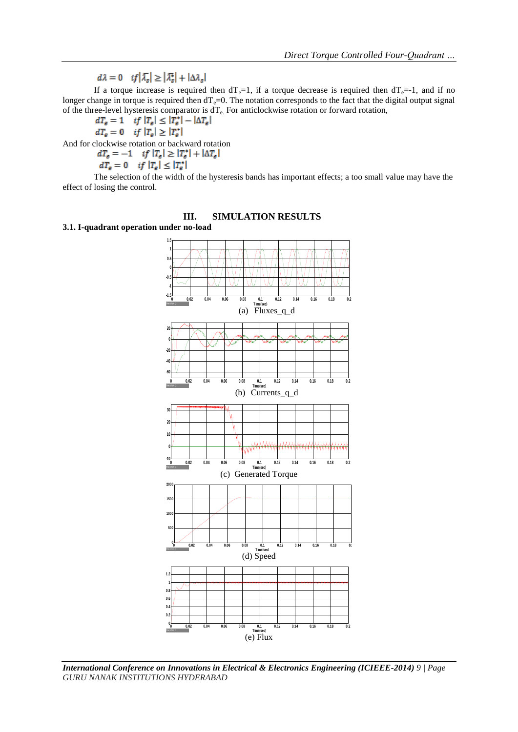$d\lambda = 0$   $if |\overline{\lambda}_s| \geq |\overline{\lambda}_s^*| + |\Delta \lambda_s|$ 

If a torque increase is required then  $dT_e=1$ , if a torque decrease is required then  $dT_e=-1$ , and if no longer change in torque is required then  $dT_e=0$ . The notation corresponds to the fact that the digital output signal of the three-level hysteresis comparator is  $dT_e$ . For anticlockwise rotation or forward rotation,<br> $dT_e = 1$  if  $|T_e| \le |T_e^*| - |\Delta T_e|$ 

$$
dT_e = 1 \quad \text{if } |T_e| \le |T_e^*| - |\Delta T_e|
$$
  

$$
dT_e = 0 \quad \text{if } |T_e| \ge |T_e^*|
$$

And for clockwise rotation or backward rotation<br> $dT_e = -1$  if  $|T_e| \ge |T_e^*| + |\Delta T_e|$ 

$$
dT_e = -1 \quad \text{if } |T_e| \ge |T_e^*|.
$$
  

$$
dT_e = 0 \quad \text{if } |T_e| \le |T_e^*|
$$

The selection of the width of the hysteresis bands has important effects; a too small value may have the effect of losing the control.

# **III. SIMULATION RESULTS**

**3.1. I-quadrant operation under no-load** 



*International Conference on Innovations in Electrical & Electronics Engineering (ICIEEE-2014) 9 | Page GURU NANAK INSTITUTIONS HYDERABAD*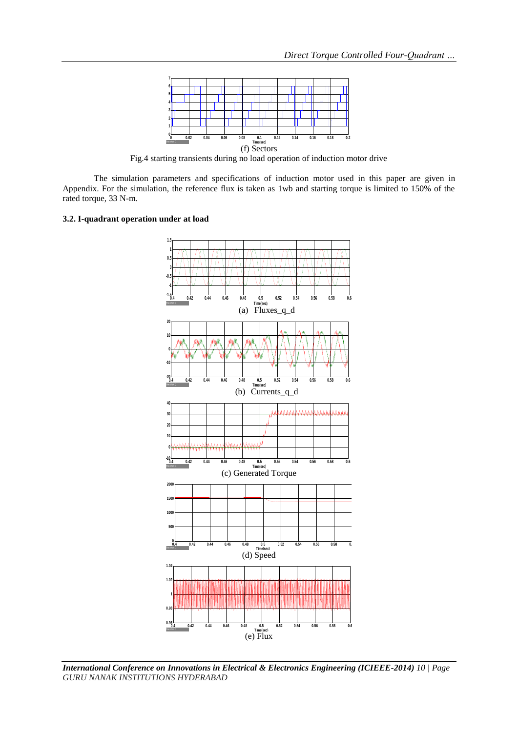

Fig.4 starting transients during no load operation of induction motor drive

The simulation parameters and specifications of induction motor used in this paper are given in Appendix. For the simulation, the reference flux is taken as 1wb and starting torque is limited to 150% of the rated torque, 33 N-m.

#### **3.2. I-quadrant operation under at load**



*International Conference on Innovations in Electrical & Electronics Engineering (ICIEEE-2014) 10 | Page GURU NANAK INSTITUTIONS HYDERABAD*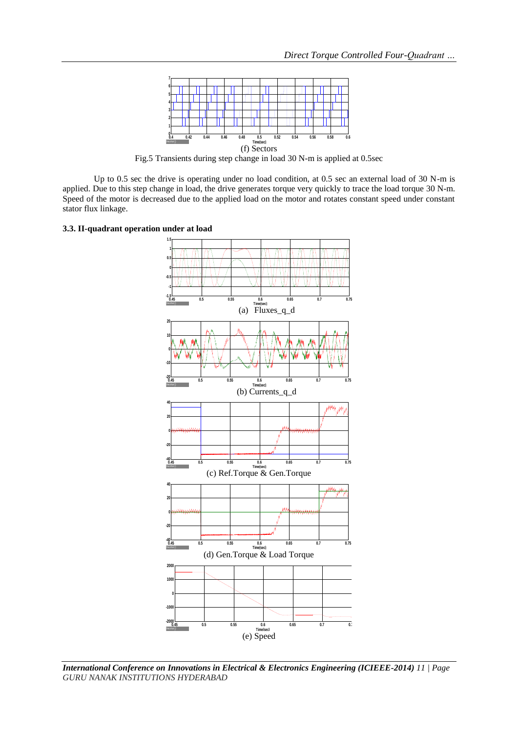

Fig.5 Transients during step change in load 30 N-m is applied at 0.5sec

Up to 0.5 sec the drive is operating under no load condition, at 0.5 sec an external load of 30 N-m is applied. Due to this step change in load, the drive generates torque very quickly to trace the load torque 30 N-m. Speed of the motor is decreased due to the applied load on the motor and rotates constant speed under constant stator flux linkage.





*International Conference on Innovations in Electrical & Electronics Engineering (ICIEEE-2014) 11 | Page GURU NANAK INSTITUTIONS HYDERABAD*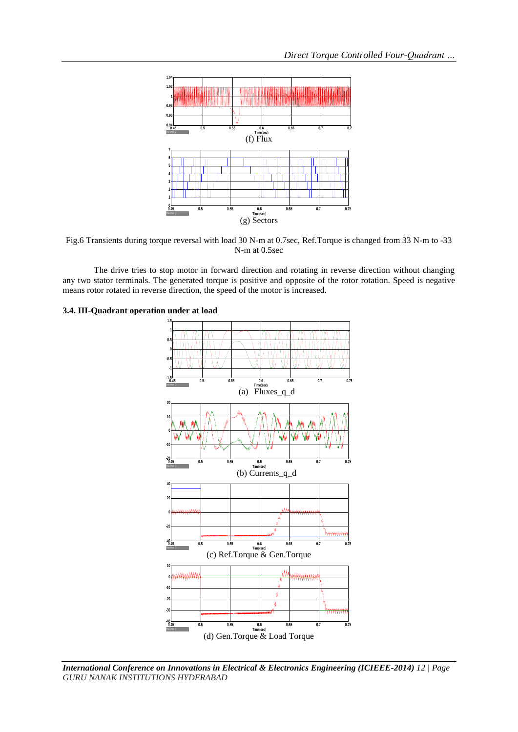

Fig.6 Transients during torque reversal with load 30 N-m at 0.7sec, Ref.Torque is changed from 33 N-m to -33 N-m at 0.5sec

The drive tries to stop motor in forward direction and rotating in reverse direction without changing any two stator terminals. The generated torque is positive and opposite of the rotor rotation. Speed is negative means rotor rotated in reverse direction, the speed of the motor is increased.



#### **3.4. III-Quadrant operation under at load**

*International Conference on Innovations in Electrical & Electronics Engineering (ICIEEE-2014) 12 | Page GURU NANAK INSTITUTIONS HYDERABAD*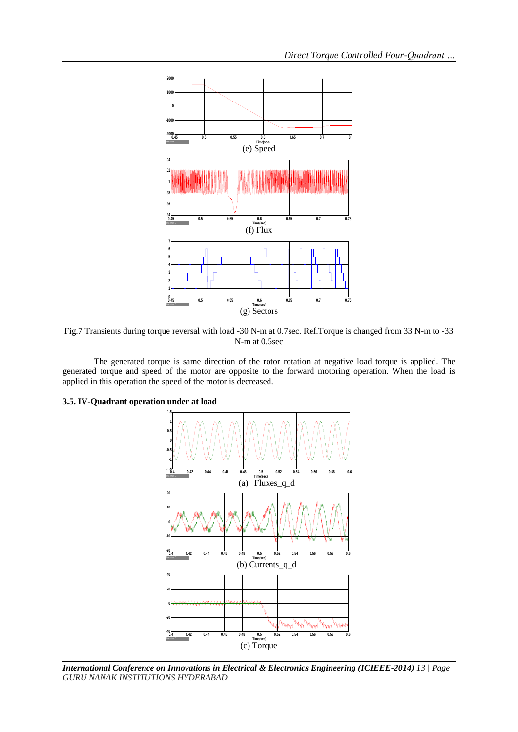

Fig.7 Transients during torque reversal with load -30 N-m at 0.7sec. Ref.Torque is changed from 33 N-m to -33 N-m at 0.5sec

The generated torque is same direction of the rotor rotation at negative load torque is applied. The generated torque and speed of the motor are opposite to the forward motoring operation. When the load is applied in this operation the speed of the motor is decreased.



### **3.5. IV-Quadrant operation under at load**

*International Conference on Innovations in Electrical & Electronics Engineering (ICIEEE-2014) 13 | Page GURU NANAK INSTITUTIONS HYDERABAD*